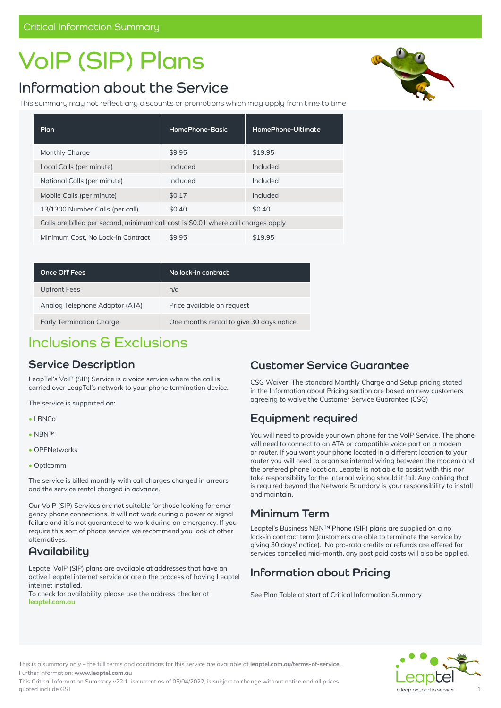# **VoIP (SIP) Plans**

## **Information about the Service**

This summary may not reflect any discounts or promotions which may apply from time to time

| Plan                                                                              | HomePhone-Basic | <b>HomePhone-Ultimate</b> |
|-----------------------------------------------------------------------------------|-----------------|---------------------------|
| Monthly Charge                                                                    | \$9.95          | \$19.95                   |
| Local Calls (per minute)                                                          | Included        | Included                  |
| National Calls (per minute)                                                       | Included        | Included                  |
| Mobile Calls (per minute)                                                         | \$0.17          | Included                  |
| 13/1300 Number Calls (per call)                                                   | \$0.40          | \$0.40                    |
| Calls are billed per second, minimum call cost is \$0.01 where call charges apply |                 |                           |
| Minimum Cost, No Lock-in Contract                                                 | \$9.95          | \$19.95                   |

| <b>Once Off Fees</b>            | No lock-in contract                       |
|---------------------------------|-------------------------------------------|
| Upfront Fees                    | n/a                                       |
| Analog Telephone Adaptor (ATA)  | Price available on request                |
| <b>Early Termination Charge</b> | One months rental to give 30 days notice. |

### **Inclusions & Exclusions**

### **Service Description**

LeapTel's VoIP (SIP) Service is a voice service where the call is carried over LeapTel's network to your phone termination device.

The service is supported on:

- LBNCo
- NBN™
- OPENetworks
- Opticomm

The service is billed monthly with call charges charged in arrears and the service rental charged in advance.

Our VoIP (SIP) Services are not suitable for those looking for emergency phone connections. It will not work during a power or signal failure and it is not guaranteed to work during an emergency. If you require this sort of phone service we recommend you look at other alternatives.

### **Availability**

Lepatel VoIP (SIP) plans are available at addresses that have an active Leaptel internet service or are n the process of having Leaptel internet installed.

To check for availability, please use the address checker at **leaptel.com.au** 

### **Customer Service Guarantee**

CSG Waiver: The standard Monthly Charge and Setup pricing stated in the Information about Pricing section are based on new customers agreeing to waive the Customer Service Guarantee (CSG)

### **Equipment required**

You will need to provide your own phone for the VoIP Service. The phone will need to connect to an ATA or compatible voice port on a modem or router. If you want your phone located in a different location to your router you will need to organise internal wiring between the modem and the prefered phone location. Leaptel is not able to assist with this nor take responsibility for the internal wiring should it fail. Any cabling that is required beyond the Network Boundary is your responsibility to install and maintain.

### **Minimum Term**

Leaptel's Business NBN™ Phone (SIP) plans are supplied on a no lock-in contract term (customers are able to terminate the service by giving 30 days' notice). No pro-rata credits or refunds are offered for services cancelled mid-month, any post paid costs will also be applied.

### **Information about Pricing**

See Plan Table at start of Critical Information Summary



This is a summary only – the full terms and conditions for this service are available at **[leaptel.com.au/](http://leaptel.com.au/legal)terms-of-service.** Further information: **[www.leaptel.com.au](http://leaptel.com.au/nbn)** 

This Critical Information Summary v22.1 is current as of 05/04/2022, is subject to change without notice and all prices quoted include GST